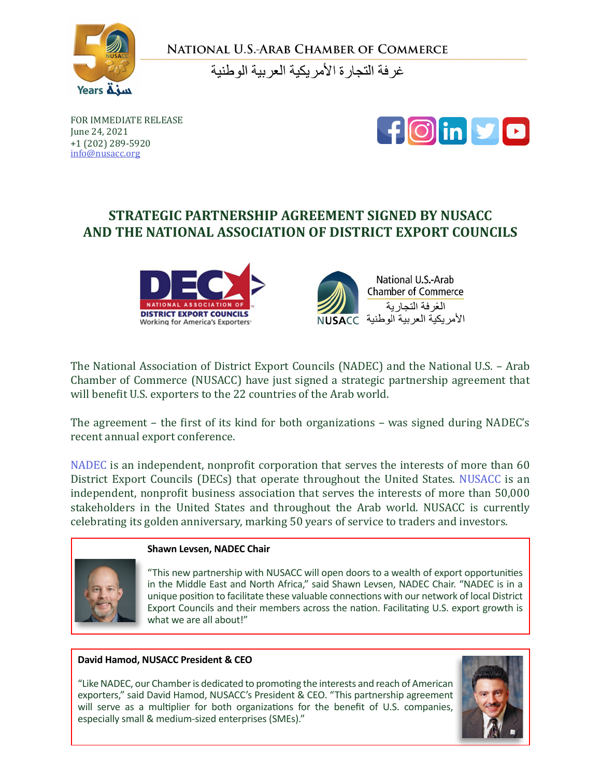

NATIONAL U.S.-ARAB CHAMBER OF COMMERCE

غر فة التجار ة الأمر بكبة العر ببة الو طنبة

FOR IMMEDIATE RELEASE June 24, 2021 +1 (202) 289-5920 info@nusacc.org



# **STRATEGIC PARTNERSHIP AGREEMENT SIGNED BY NUSACC AND THE NATIONAL ASSOCIATION OF DISTRICT EXPORT COUNCILS**





[The National Association of District Export Councils \(NADEC\)](https://www.usaexporter.org/) and the [National U.S. – Arab](www.nusacc.org)  [Chamber of Commerce \(NUSACC\)](www.nusacc.org) have just signed a strategic partnership agreement that will benefit U.S. exporters to the 22 countries of the Arab world.

The agreement – the first of its kind for both organizations – was signed during NADEC's recent annual export conference.

[NADEC](https://www.usaexporter.org/) is an independent, nonprofit corporation that serves the interests of more than 60 District Export Councils (DECs) that operate throughout the United States. [NUSACC](www.nusacc.org) is an independent, nonprofit business association that serves the interests of more than 50,000 stakeholders in the United States and throughout the Arab world. NUSACC is currently celebrating its golden anniversary, marking 50 years of service to traders and investors.



#### **Shawn Levsen, NADEC Chair**

"This new partnership with NUSACC will open doors to a wealth of export opportunities in the Middle East and North Africa," said Shawn Levsen, NADEC Chair. "NADEC is in a unique position to facilitate these valuable connections with our network of local District Export Councils and their members across the nation. Facilitating U.S. export growth is what we are all about!"

#### **David Hamod, NUSACC President & CEO**

"Like NADEC, our Chamber is dedicated to promoting the interests and reach of American exporters," said David Hamod, NUSACC's President & CEO. "This partnership agreement will serve as a multiplier for both organizations for the benefit of U.S. companies, especially small & medium-sized enterprises (SMEs)."

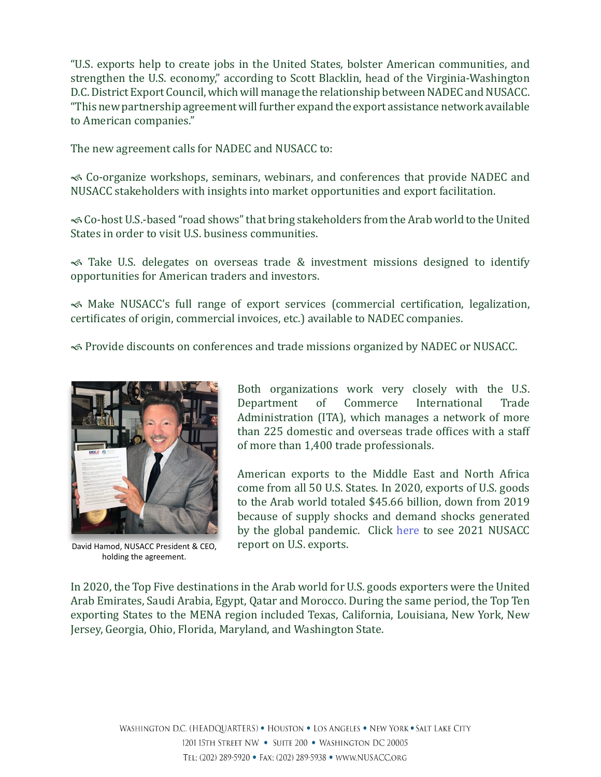"U.S. exports help to create jobs in the United States, bolster American communities, and strengthen the U.S. economy," according to Scott Blacklin, head of the Virginia-Washington D.C. District Export Council, which will manage the relationship between NADEC and NUSACC. "This new partnership agreement will further expand the export assistance network available to American companies."

The new agreement calls for NADEC and NUSACC to:

 Co-organize workshops, seminars, webinars, and conferences that provide NADEC and NUSACC stakeholders with insights into market opportunities and export facilitation.

 Co-host U.S.-based "road shows" that bring stakeholders from the Arab world to the United States in order to visit U.S. business communities.

 Take U.S. delegates on overseas trade & investment missions designed to identify opportunities for American traders and investors.

 Make NUSACC's full range of export services (commercial certification, legalization, certificates of origin, commercial invoices, etc.) available to NADEC companies.

Provide discounts on conferences and trade missions organized by NADEC or NUSACC.



David Hamod, NUSACC President & CEO, holding the agreement.

Both organizations work very closely with the U.S.<br>Department of Commerce International Trade Department of Administration (ITA), which manages a network of more than 225 domestic and overseas trade offices with a staff of more than 1,400 trade professionals.

American exports to the Middle East and North Africa come from all 50 U.S. States. In 2020, exports of U.S. goods to the Arab world totaled \$45.66 billion, down from 2019 because of supply shocks and demand shocks generated by the global pandemic. Click [here](http://www.nusacc.org/uploads/2/2/9/7/22977530/21tradedata-pr-final-feb15.pdf) to see 2021 NUSACC report on U.S. exports.

In 2020, the Top Five destinations in the Arab world for U.S. goods exporters were the United Arab Emirates, Saudi Arabia, Egypt, Qatar and Morocco. During the same period, the Top Ten exporting States to the MENA region included Texas, California, Louisiana, New York, New Jersey, Georgia, Ohio, Florida, Maryland, and Washington State.